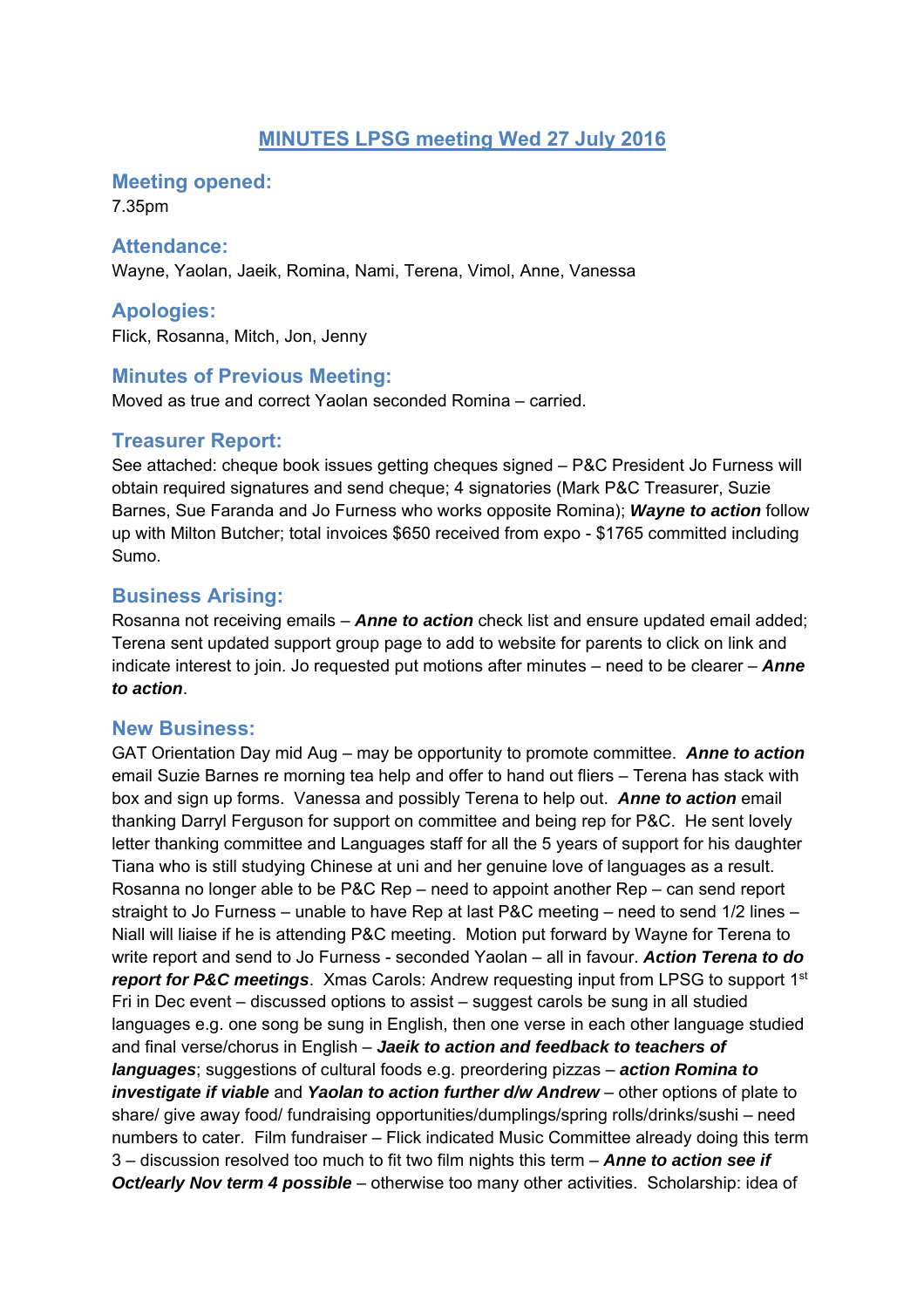# **MINUTES LPSG meeting Wed 27 July 2016**

**Meeting opened:** 

7.35pm

#### **Attendance:**

Wayne, Yaolan, Jaeik, Romina, Nami, Terena, Vimol, Anne, Vanessa

**Apologies:** 

Flick, Rosanna, Mitch, Jon, Jenny

# **Minutes of Previous Meeting:**

Moved as true and correct Yaolan seconded Romina – carried.

# **Treasurer Report:**

See attached: cheque book issues getting cheques signed – P&C President Jo Furness will obtain required signatures and send cheque; 4 signatories (Mark P&C Treasurer, Suzie Barnes, Sue Faranda and Jo Furness who works opposite Romina); *Wayne to action* follow up with Milton Butcher; total invoices \$650 received from expo - \$1765 committed including Sumo.

# **Business Arising:**

Rosanna not receiving emails – *Anne to action* check list and ensure updated email added; Terena sent updated support group page to add to website for parents to click on link and indicate interest to join. Jo requested put motions after minutes – need to be clearer – *Anne to action*.

#### **New Business:**

GAT Orientation Day mid Aug – may be opportunity to promote committee. *Anne to action* email Suzie Barnes re morning tea help and offer to hand out fliers – Terena has stack with box and sign up forms. Vanessa and possibly Terena to help out. *Anne to action* email thanking Darryl Ferguson for support on committee and being rep for P&C. He sent lovely letter thanking committee and Languages staff for all the 5 years of support for his daughter Tiana who is still studying Chinese at uni and her genuine love of languages as a result. Rosanna no longer able to be P&C Rep – need to appoint another Rep – can send report straight to Jo Furness – unable to have Rep at last P&C meeting – need to send 1/2 lines – Niall will liaise if he is attending P&C meeting. Motion put forward by Wayne for Terena to write report and send to Jo Furness - seconded Yaolan – all in favour. *Action Terena to do report for P&C meetings.* Xmas Carols: Andrew requesting input from LPSG to support 1<sup>st</sup> Fri in Dec event – discussed options to assist – suggest carols be sung in all studied languages e.g. one song be sung in English, then one verse in each other language studied and final verse/chorus in English – *Jaeik to action and feedback to teachers of languages*; suggestions of cultural foods e.g. preordering pizzas – *action Romina to investigate if viable* and *Yaolan to action further d/w Andrew* – other options of plate to share/ give away food/ fundraising opportunities/dumplings/spring rolls/drinks/sushi – need numbers to cater. Film fundraiser – Flick indicated Music Committee already doing this term 3 – discussion resolved too much to fit two film nights this term – *Anne to action see if Oct/early Nov term 4 possible* – otherwise too many other activities. Scholarship: idea of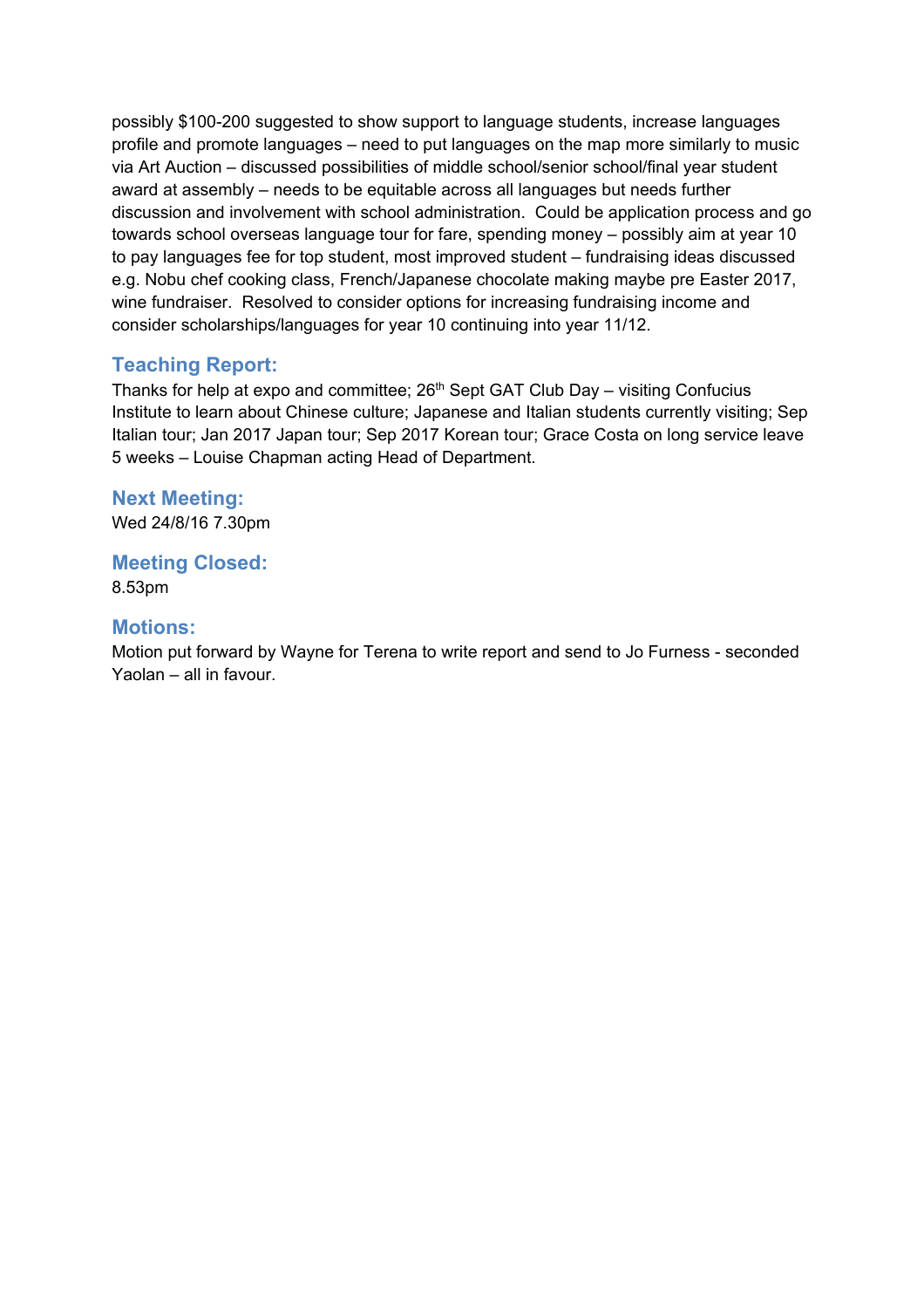possibly \$100-200 suggested to show support to language students, increase languages profile and promote languages – need to put languages on the map more similarly to music via Art Auction – discussed possibilities of middle school/senior school/final year student award at assembly – needs to be equitable across all languages but needs further discussion and involvement with school administration. Could be application process and go towards school overseas language tour for fare, spending money – possibly aim at year 10 to pay languages fee for top student, most improved student – fundraising ideas discussed e.g. Nobu chef cooking class, French/Japanese chocolate making maybe pre Easter 2017, wine fundraiser. Resolved to consider options for increasing fundraising income and consider scholarships/languages for year 10 continuing into year 11/12.

# **Teaching Report:**

Thanks for help at expo and committee;  $26<sup>th</sup>$  Sept GAT Club Day – visiting Confucius Institute to learn about Chinese culture; Japanese and Italian students currently visiting; Sep Italian tour; Jan 2017 Japan tour; Sep 2017 Korean tour; Grace Costa on long service leave 5 weeks – Louise Chapman acting Head of Department.

**Next Meeting:**  Wed 24/8/16 7.30pm

**Meeting Closed:** 

8.53pm

#### **Motions:**

Motion put forward by Wayne for Terena to write report and send to Jo Furness - seconded Yaolan – all in favour.